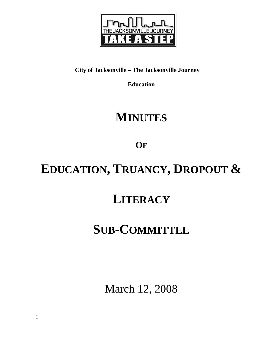

## **City of Jacksonville – The Jacksonville Journey**

**Education** 

# **MINUTES**

**OF**

# **EDUCATION, TRUANCY, DROPOUT &**

# **LITERACY**

# **SUB-COMMITTEE**

March 12, 2008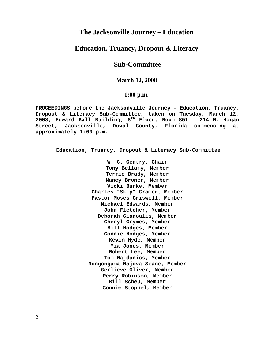## **The Jacksonville Journey – Education**

## **Education, Truancy, Dropout & Literacy**

## **Sub-Committee**

## **March 12, 2008**

## **1:00 p.m.**

**PROCEEDINGS before the Jacksonville Journey – Education, Truancy, Dropout & Literacy Sub-Committee, taken on Tuesday, March 12, 2008, Edward Ball Building, 8th Floor, Room 851 – 214 N. Hogan Street, Jacksonville, Duval County, Florida commencing at approximately 1:00 p.m.** 

**Education, Truancy, Dropout & Literacy Sub-Committee** 

**W. C. Gentry, Chair Tony Bellamy, Member Terrie Brady, Member Nancy Broner, Member Vicki Burke, Member Charles "Skip" Cramer, Member Pastor Moses Criswell, Member Michael Edwards, Member John Fletcher, Member Deborah Gianoulis, Member Cheryl Grymes, Member Bill Hodges, Member Connie Hodges, Member Kevin Hyde, Member Mia Jones, Member Robert Lee, Member Tom Majdanics, Member Nongongama Majova-Seane, Member Gerlieve Oliver, Member Perry Robinson, Member Bill Scheu, Member Connie Stophel, Member**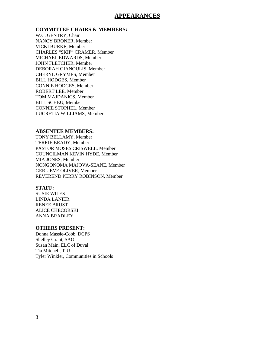## **APPEARANCES**

## **COMMITTEE CHAIRS & MEMBERS:**

W.C. GENTRY, Chair NANCY BRONER, Member VICKI BURKE, Member CHARLES "SKIP" CRAMER, Member MICHAEL EDWARDS, Member JOHN FLETCHER, Member DEBORAH GIANOULIS, Member CHERYL GRYMES, Member BILL HODGES, Member CONNIE HODGES, Member ROBERT LEE, Member TOM MAJDANICS, Member BILL SCHEU, Member CONNIE STOPHEL, Member LUCRETIA WILLIAMS, Member

## **ABSENTEE MEMBERS:**

TONY BELLAMY, Member TERRIE BRADY, Member PASTOR MOSES CRISWELL, Member COUNCILMAN KEVIN HYDE, Member MIA JONES, Member NONGONOMA MAJOVA-SEANE, Member GERLIEVE OLIVER, Member REVEREND PERRY ROBINSON, Member

## **STAFF:**

SUSIE WILES LINDA LANIER RENEE BRUST ALICE CHECORSKI ANNA BRADLEY

## **OTHERS PRESENT:**

Donna Massie-Cobb, DCPS Shelley Grant, SAO Susan Main, ELC of Duval Tia Mitchell, T-U Tyler Winkler, Communities in Schools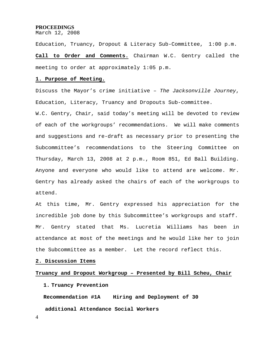## **PROCEEDINGS**

March 12, 2008

Education, Truancy, Dropout & Literacy Sub-Committee, 1:00 p.m. **Call to Order and Comments.** Chairman W.C. Gentry called the meeting to order at approximately 1:05 p.m.

## **1. Purpose of Meeting.**

Discuss the Mayor's crime initiative – *The Jacksonville Journey*, Education, Literacy, Truancy and Dropouts Sub-committee.

W.C. Gentry, Chair, said today's meeting will be devoted to review of each of the workgroups' recommendations. We will make comments and suggestions and re-draft as necessary prior to presenting the Subcommittee's recommendations to the Steering Committee on Thursday, March 13, 2008 at 2 p.m., Room 851, Ed Ball Building. Anyone and everyone who would like to attend are welcome. Mr. Gentry has already asked the chairs of each of the workgroups to attend.

At this time, Mr. Gentry expressed his appreciation for the incredible job done by this Subcommittee's workgroups and staff. Mr. Gentry stated that Ms. Lucretia Williams has been in attendance at most of the meetings and he would like her to join the Subcommittee as a member. Let the record reflect this.

## **2. Discussion Items**

## **Truancy and Dropout Workgroup – Presented by Bill Scheu, Chair**

## **1. Truancy Prevention**

**Recommendation #1A Hiring and Deployment of 30 additional Attendance Social Workers**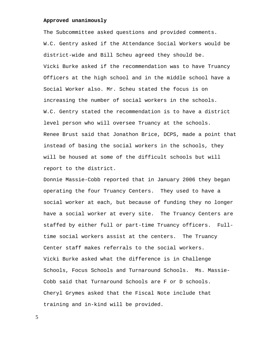## **Approved unanimously**

The Subcommittee asked questions and provided comments. W.C. Gentry asked if the Attendance Social Workers would be district-wide and Bill Scheu agreed they should be. Vicki Burke asked if the recommendation was to have Truancy Officers at the high school and in the middle school have a Social Worker also. Mr. Scheu stated the focus is on increasing the number of social workers in the schools. W.C. Gentry stated the recommendation is to have a district level person who will oversee Truancy at the schools. Renee Brust said that Jonathon Brice, DCPS, made a point that instead of basing the social workers in the schools, they will be housed at some of the difficult schools but will report to the district.

Donnie Massie-Cobb reported that in January 2006 they began operating the four Truancy Centers. They used to have a social worker at each, but because of funding they no longer have a social worker at every site. The Truancy Centers are staffed by either full or part-time Truancy officers. Fulltime social workers assist at the centers. The Truancy Center staff makes referrals to the social workers. Vicki Burke asked what the difference is in Challenge Schools, Focus Schools and Turnaround Schools. Ms. Massie-Cobb said that Turnaround Schools are F or D schools. Cheryl Grymes asked that the Fiscal Note include that training and in-kind will be provided.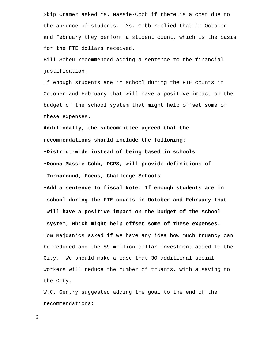Skip Cramer asked Ms. Massie-Cobb if there is a cost due to the absence of students. Ms. Cobb replied that in October and February they perform a student count, which is the basis for the FTE dollars received.

Bill Scheu recommended adding a sentence to the financial justification:

If enough students are in school during the FTE counts in October and February that will have a positive impact on the budget of the school system that might help offset some of these expenses.

**Additionally, the subcommittee agreed that the recommendations should include the following: •District-wide instead of being based in schools •Donna Massie-Cobb, DCPS, will provide definitions of Turnaround, Focus, Challenge Schools** 

**•Add a sentence to fiscal Note: If enough students are in school during the FTE counts in October and February that will have a positive impact on the budget of the school system, which might help offset some of these expenses.**  Tom Majdanics asked if we have any idea how much truancy can be reduced and the \$9 million dollar investment added to the City. We should make a case that 30 additional social workers will reduce the number of truants, with a saving to the City.

W.C. Gentry suggested adding the goal to the end of the recommendations: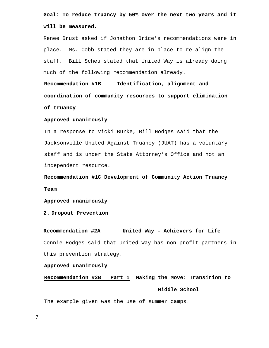**Goal: To reduce truancy by 50% over the next two years and it will be measured.** 

Renee Brust asked if Jonathon Brice's recommendations were in place. Ms. Cobb stated they are in place to re-align the staff. Bill Scheu stated that United Way is already doing much of the following recommendation already.

**Recommendation #1B Identification, alignment and coordination of community resources to support elimination of truancy** 

## **Approved unanimously**

In a response to Vicki Burke, Bill Hodges said that the Jacksonville United Against Truancy (JUAT) has a voluntary staff and is under the State Attorney's Office and not an independent resource.

**Recommendation #1C Development of Community Action Truancy Team** 

**Approved unanimously** 

**2. Dropout Prevention**

**Recommendation #2A United Way – Achievers for Life**  Connie Hodges said that United Way has non-profit partners in this prevention strategy.

## **Approved unanimously**

**Recommendation #2B Part 1 Making the Move: Transition to Middle School** 

The example given was the use of summer camps.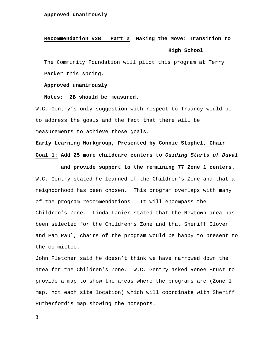## **Recommendation #2B Part 2 Making the Move: Transition to**

## **High School**

The Community Foundation will pilot this program at Terry Parker this spring.

## **Approved unanimously**

## **Notes: 2B should be measured.**

W.C. Gentry's only suggestion with respect to Truancy would be to address the goals and the fact that there will be measurements to achieve those goals.

## **Early Learning Workgroup, Presented by Connie Stophel, Chair**

**Goal 1: Add 25 more childcare centers to** *Guiding Starts of Duval* 

**and provide support to the remaining 77 Zone 1 centers.**  W.C. Gentry stated he learned of the Children's Zone and that a neighborhood has been chosen. This program overlaps with many of the program recommendations. It will encompass the Children's Zone. Linda Lanier stated that the Newtown area has been selected for the Children's Zone and that Sheriff Glover and Pam Paul, chairs of the program would be happy to present to the committee.

John Fletcher said he doesn't think we have narrowed down the area for the Children's Zone. W.C. Gentry asked Renee Brust to provide a map to show the areas where the programs are (Zone 1 map, not each site location) which will coordinate with Sheriff Rutherford's map showing the hotspots.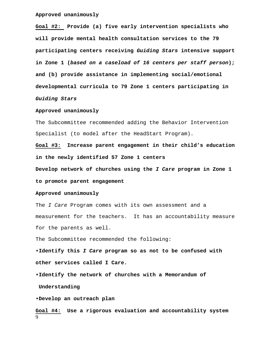### **Approved unanimously**

**Goal #2: Provide (a) five early intervention specialists who will provide mental health consultation services to the 79 participating centers receiving** *Guiding Stars* **intensive support in Zone 1 (***based on a caseload of 16 centers per staff person***); and (b) provide assistance in implementing social/emotional developmental curricula to 79 Zone 1 centers participating in**  *Guiding Stars* 

## **Approved unanimously**

The Subcommittee recommended adding the Behavior Intervention Specialist (to model after the HeadStart Program).

**Goal #3: Increase parent engagement in their child's education in the newly identified 57 Zone 1 centers** 

**Develop network of churches using the** *I Care* **program in Zone 1** 

**to promote parent engagement** 

## **Approved unanimously**

The *I Care* Program comes with its own assessment and a measurement for the teachers. It has an accountability measure for the parents as well.

The Subcommittee recommended the following:

**•Identify this** *I Care* **program so as not to be confused with other services called I Care.** 

**•Identify the network of churches with a Memorandum of** 

 **Understanding** 

**•Develop an outreach plan** 

9 **Goal #4: Use a rigorous evaluation and accountability system**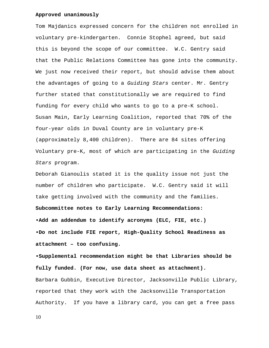### **Approved unanimously**

Tom Majdanics expressed concern for the children not enrolled in voluntary pre-kindergarten. Connie Stophel agreed, but said this is beyond the scope of our committee. W.C. Gentry said that the Public Relations Committee has gone into the community. We just now received their report, but should advise them about the advantages of going to a *Guiding Stars* center. Mr. Gentry further stated that constitutionally we are required to find funding for every child who wants to go to a pre-K school. Susan Main, Early Learning Coalition, reported that 70% of the four-year olds in Duval County are in voluntary pre-K (approximately 8,400 children). There are 84 sites offering Voluntary pre-K, most of which are participating in the *Guiding Stars* program.

Deborah Gianoulis stated it is the quality issue not just the number of children who participate. W.C. Gentry said it will take getting involved with the community and the families. **Subcommittee notes to Early Learning Recommendations: •Add an addendum to identify acronyms (ELC, FIE, etc.) •Do not include FIE report, High-Quality School Readiness as attachment – too confusing.** 

**•Supplemental recommendation might be that Libraries should be fully funded. (For now, use data sheet as attachment).**  Barbara Gubbin, Executive Director, Jacksonville Public Library, reported that they work with the Jacksonville Transportation Authority. If you have a library card, you can get a free pass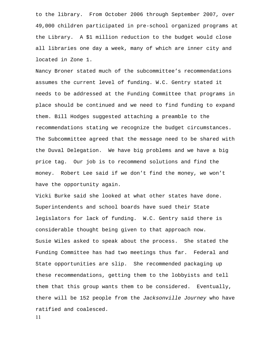to the library. From October 2006 through September 2007, over 49,000 children participated in pre-school organized programs at the Library. A \$1 million reduction to the budget would close all libraries one day a week, many of which are inner city and located in Zone 1.

Nancy Broner stated much of the subcommittee's recommendations assumes the current level of funding. W.C. Gentry stated it needs to be addressed at the Funding Committee that programs in place should be continued and we need to find funding to expand them. Bill Hodges suggested attaching a preamble to the recommendations stating we recognize the budget circumstances. The Subcommittee agreed that the message need to be shared with the Duval Delegation. We have big problems and we have a big price tag. Our job is to recommend solutions and find the money. Robert Lee said if we don't find the money, we won't have the opportunity again.

Vicki Burke said she looked at what other states have done. Superintendents and school boards have sued their State legislators for lack of funding. W.C. Gentry said there is considerable thought being given to that approach now. Susie Wiles asked to speak about the process. She stated the Funding Committee has had two meetings thus far. Federal and State opportunities are slip. She recommended packaging up these recommendations, getting them to the lobbyists and tell them that this group wants them to be considered. Eventually, there will be 152 people from the *Jacksonville Journey* who have ratified and coalesced.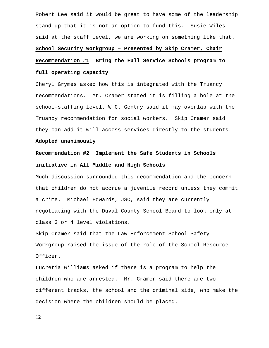Robert Lee said it would be great to have some of the leadership stand up that it is not an option to fund this. Susie Wiles said at the staff level, we are working on something like that.

## **School Security Workgroup – Presented by Skip Cramer, Chair**

## **Recommendation #1 Bring the Full Service Schools program to**

## **full operating capacity**

Cheryl Grymes asked how this is integrated with the Truancy recommendations. Mr. Cramer stated it is filling a hole at the school-staffing level. W.C. Gentry said it may overlap with the Truancy recommendation for social workers. Skip Cramer said they can add it will access services directly to the students.

#### **Adopted unanimously**

## **Recommendation #2 Implement the Safe Students in Schools initiative in All Middle and High Schools**

Much discussion surrounded this recommendation and the concern that children do not accrue a juvenile record unless they commit a crime. Michael Edwards, JSO, said they are currently negotiating with the Duval County School Board to look only at class 3 or 4 level violations.

Skip Cramer said that the Law Enforcement School Safety Workgroup raised the issue of the role of the School Resource Officer.

Lucretia Williams asked if there is a program to help the children who are arrested. Mr. Cramer said there are two different tracks, the school and the criminal side, who make the decision where the children should be placed.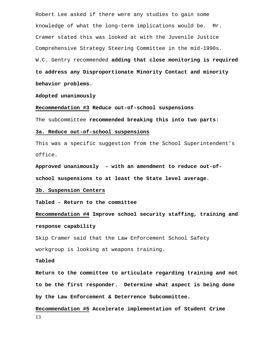Robert Lee asked if there were any studies to gain some knowledge of what the long-term implications would be. Mr. Cramer stated this was looked at with the Juvenile Justice Comprehensive Strategy Steering Committee in the mid-1990s. W.C. Gentry recommended **adding that close monitoring is required to address any Disproportionate Minority Contact and minority behavior problems.** 

#### **Adopted unanimously**

**Recommendation #3 Reduce out-of-school suspensions** 

The subcommittee **recommended breaking this into two parts:** 

#### **3a. Reduce out-of-school suspensions**

This was a specific suggestion from the School Superintendent's office.

**Approved unanimously - with an amendment to reduce out-ofschool suspensions to at least the State level average.** 

## **3b. Suspension Centers**

**Tabled - Return to the committee** 

**Recommendation #4 Improve school security staffing, training and response capability** 

Skip Cramer said that the Law Enforcement School Safety workgroup is looking at weapons training.

### **Tabled**

**Return to the committee to articulate regarding training and not to be the first responder. Determine what aspect is being done by the Law Enforcement & Deterrence Subcommittee.** 

**Recommendation #5 Accelerate implementation of Student Crime**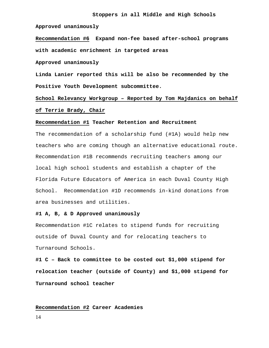### **Stoppers in all Middle and High Schools**

**Approved unanimously** 

**Recommendation #6 Expand non-fee based after-school programs with academic enrichment in targeted areas** 

**Approved unanimously** 

**Linda Lanier reported this will be also be recommended by the Positive Youth Development subcommittee.** 

# **School Relevancy Workgroup – Reported by Tom Majdanics on behalf of Terrie Brady, Chair**

## **Recommendation #1 Teacher Retention and Recruitment**

The recommendation of a scholarship fund (#1A) would help new teachers who are coming though an alternative educational route. Recommendation #1B recommends recruiting teachers among our local high school students and establish a chapter of the Florida Future Educators of America in each Duval County High School. Recommendation #1D recommends in-kind donations from area businesses and utilities.

## **#1 A, B, & D Approved unanimously**

Recommendation #1C relates to stipend funds for recruiting outside of Duval County and for relocating teachers to Turnaround Schools.

**#1 C – Back to committee to be costed out \$1,000 stipend for relocation teacher (outside of County) and \$1,000 stipend for Turnaround school teacher** 

## **Recommendation #2 Career Academies**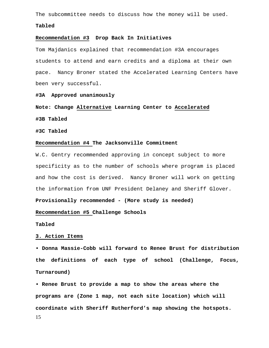The subcommittee needs to discuss how the money will be used.

### **Tabled**

#### **Recommendation #3 Drop Back In Initiatives**

Tom Majdanics explained that recommendation #3A encourages students to attend and earn credits and a diploma at their own pace. Nancy Broner stated the Accelerated Learning Centers have been very successful.

## **#3A Approved unanimously**

**Note: Change Alternative Learning Center to Accelerated #3B Tabled** 

**#3C Tabled** 

## **Recommendation #4 The Jacksonville Commitment**

W.C. Gentry recommended approving in concept subject to more specificity as to the number of schools where program is placed and how the cost is derived. Nancy Broner will work on getting the information from UNF President Delaney and Sheriff Glover.

**Provisionally recommended - (More study is needed)** 

## **Recommendation #5 Challenge Schools**

## **Tabled**

## **3. Action Items**

**• Donna Massie-Cobb will forward to Renee Brust for distribution the definitions of each type of school (Challenge, Focus, Turnaround)** 

15 **• Renee Brust to provide a map to show the areas where the programs are (Zone 1 map, not each site location) which will coordinate with Sheriff Rutherford's map showing the hotspots.**